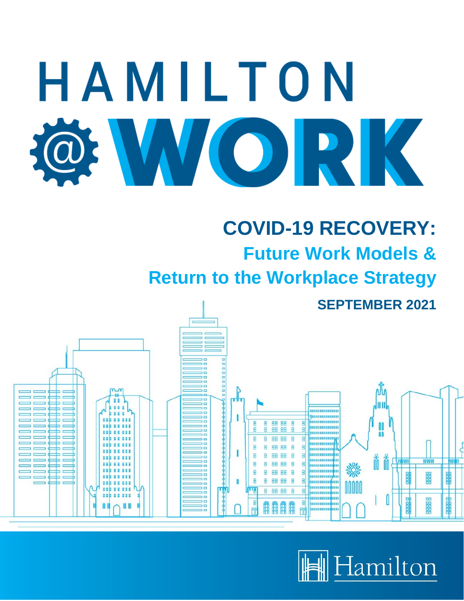

**SEPTEMBER 2021**



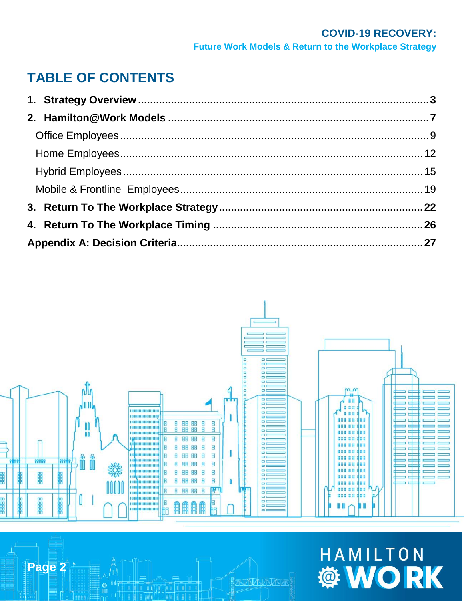## **TABLE OF CONTENTS**



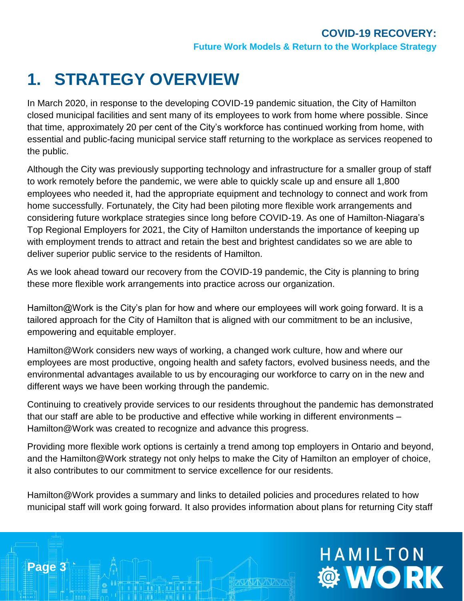## <span id="page-2-0"></span>**1. STRATEGY OVERVIEW**

**Page 3**

In March 2020, in response to the developing COVID-19 pandemic situation, the City of Hamilton closed municipal facilities and sent many of its employees to work from home where possible. Since that time, approximately 20 per cent of the City's workforce has continued working from home, with essential and public-facing municipal service staff returning to the workplace as services reopened to the public.

Although the City was previously supporting technology and infrastructure for a smaller group of staff to work remotely before the pandemic, we were able to quickly scale up and ensure all 1,800 employees who needed it, had the appropriate equipment and technology to connect and work from home successfully. Fortunately, the City had been piloting more flexible work arrangements and considering future workplace strategies since long before COVID-19. As one of Hamilton-Niagara's Top Regional Employers for 2021, the City of Hamilton understands the importance of keeping up with employment trends to attract and retain the best and brightest candidates so we are able to deliver superior public service to the residents of Hamilton.

As we look ahead toward our recovery from the COVID-19 pandemic, the City is planning to bring these more flexible work arrangements into practice across our organization.

Hamilton@Work is the City's plan for how and where our employees will work going forward. It is a tailored approach for the City of Hamilton that is aligned with our commitment to be an inclusive, empowering and equitable employer.

Hamilton@Work considers new ways of working, a changed work culture, how and where our employees are most productive, ongoing health and safety factors, evolved business needs, and the environmental advantages available to us by encouraging our workforce to carry on in the new and different ways we have been working through the pandemic.

Continuing to creatively provide services to our residents throughout the pandemic has demonstrated that our staff are able to be productive and effective while working in different environments – Hamilton@Work was created to recognize and advance this progress.

Providing more flexible work options is certainly a trend among top employers in Ontario and beyond, and the Hamilton@Work strategy not only helps to make the City of Hamilton an employer of choice, it also contributes to our commitment to service excellence for our residents.

Hamilton@Work provides a summary and links to detailed policies and procedures related to how municipal staff will work going forward. It also provides information about plans for returning City staff

# HAMILTON **® WORK**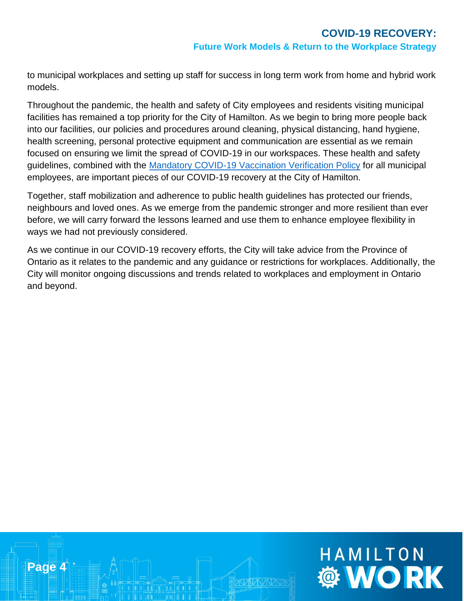HAMILTON

**WORK** 

to municipal workplaces and setting up staff for success in long term work from home and hybrid work models.

Throughout the pandemic, the health and safety of City employees and residents visiting municipal facilities has remained a top priority for the City of Hamilton. As we begin to bring more people back into our facilities, our policies and procedures around cleaning, physical distancing, hand hygiene, health screening, personal protective equipment and communication are essential as we remain focused on ensuring we limit the spread of COVID-19 in our workspaces. These health and safety guidelines, combined with the [Mandatory COVID-19 Vaccination Verification Policy](https://www.hamilton.ca/sites/default/files/media/browser/2021-08-26/final-mandatory-covid-19-vaccination-verification-policy-08262021-approved-by-council.pdf) for all municipal employees, are important pieces of our COVID-19 recovery at the City of Hamilton.

Together, staff mobilization and adherence to public health guidelines has protected our friends, neighbours and loved ones. As we emerge from the pandemic stronger and more resilient than ever before, we will carry forward the lessons learned and use them to enhance employee flexibility in ways we had not previously considered.

As we continue in our COVID-19 recovery efforts, the City will take advice from the Province of Ontario as it relates to the pandemic and any guidance or restrictions for workplaces. Additionally, the City will monitor ongoing discussions and trends related to workplaces and employment in Ontario and beyond.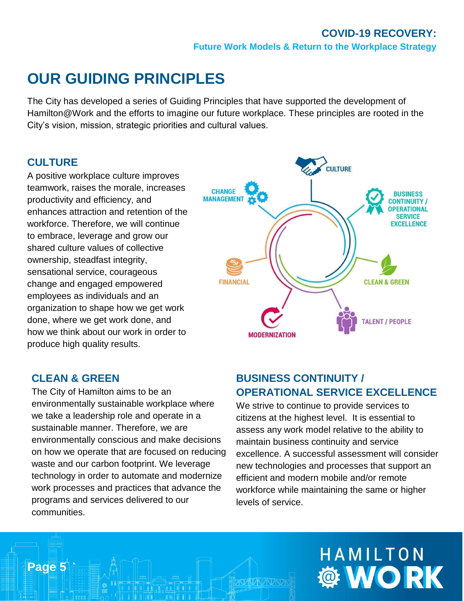## **OUR GUIDING PRINCIPLES**

The City has developed a series of Guiding Principles that have supported the development of Hamilton@Work and the efforts to imagine our future workplace. These principles are rooted in the City's vision, mission, strategic priorities and cultural values.

#### **CULTURE**

A positive workplace culture improves teamwork, raises the morale, increases productivity and efficiency, and enhances attraction and retention of the workforce. Therefore, we will continue to embrace, leverage and grow our shared culture values of collective ownership, steadfast integrity, sensational service, courageous change and engaged empowered employees as individuals and an organization to shape how we get work done, where we get work done, and how we think about our work in order to produce high quality results.



#### **CLEAN & GREEN**

**Page 5**

The City of Hamilton aims to be an environmentally sustainable workplace where we take a leadership role and operate in a sustainable manner. Therefore, we are environmentally conscious and make decisions on how we operate that are focused on reducing waste and our carbon footprint. We leverage technology in order to automate and modernize work processes and practices that advance the programs and services delivered to our communities.

#### **BUSINESS CONTINUITY / OPERATIONAL SERVICE EXCELLENCE**

We strive to continue to provide services to citizens at the highest level. It is essential to assess any work model relative to the ability to maintain business continuity and service excellence. A successful assessment will consider new technologies and processes that support an efficient and modern mobile and/or remote workforce while maintaining the same or higher levels of service.

# HAMILTON **OF WORK**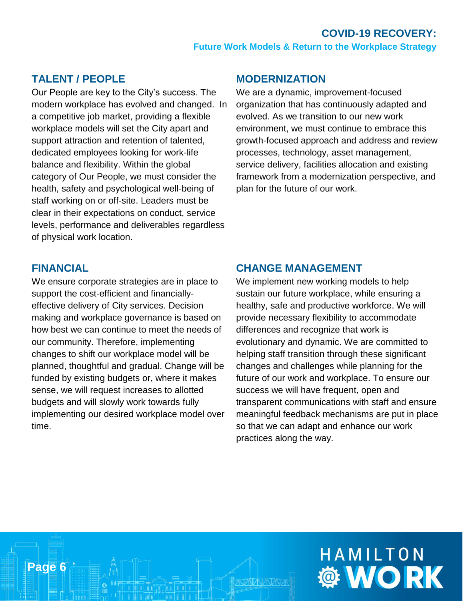#### **TALENT / PEOPLE**

Our People are key to the City's success. The modern workplace has evolved and changed. In a competitive job market, providing a flexible workplace models will set the City apart and support attraction and retention of talented, dedicated employees looking for work-life balance and flexibility. Within the global category of Our People, we must consider the health, safety and psychological well-being of staff working on or off-site. Leaders must be clear in their expectations on conduct, service levels, performance and deliverables regardless of physical work location.

#### **MODERNIZATION**

We are a dynamic, improvement-focused organization that has continuously adapted and evolved. As we transition to our new work environment, we must continue to embrace this growth-focused approach and address and review processes, technology, asset management, service delivery, facilities allocation and existing framework from a modernization perspective, and plan for the future of our work.

#### **FINANCIAL**

**Page 6**

We ensure corporate strategies are in place to support the cost-efficient and financiallyeffective delivery of City services. Decision making and workplace governance is based on how best we can continue to meet the needs of our community. Therefore, implementing changes to shift our workplace model will be planned, thoughtful and gradual. Change will be funded by existing budgets or, where it makes sense, we will request increases to allotted budgets and will slowly work towards fully implementing our desired workplace model over time.

#### **CHANGE MANAGEMENT**

We implement new working models to help sustain our future workplace, while ensuring a healthy, safe and productive workforce. We will provide necessary flexibility to accommodate differences and recognize that work is evolutionary and dynamic. We are committed to helping staff transition through these significant changes and challenges while planning for the future of our work and workplace. To ensure our success we will have frequent, open and transparent communications with staff and ensure meaningful feedback mechanisms are put in place so that we can adapt and enhance our work practices along the way.

# HAMILTON **Ö WORK**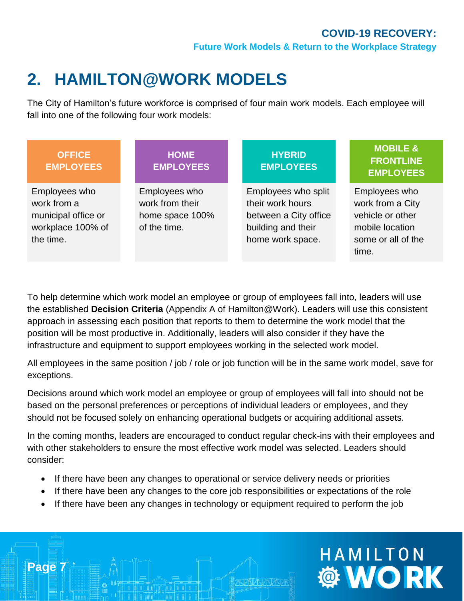## <span id="page-6-0"></span>**2. HAMILTON@WORK MODELS**

The City of Hamilton's future workforce is comprised of four main work models. Each employee will fall into one of the following four work models:

| <b>OFFICE</b><br><b>EMPLOYEES</b>                                                     | <b>HOME</b><br><b>EMPLOYEES</b>                                     | <b>HYBRID</b><br><b>EMPLOYEES</b>                                                                          | <b>MOBILE &amp;</b><br><b>FRONTLINE</b><br><b>EMPLOYEES</b>                                             |
|---------------------------------------------------------------------------------------|---------------------------------------------------------------------|------------------------------------------------------------------------------------------------------------|---------------------------------------------------------------------------------------------------------|
| Employees who<br>work from a<br>municipal office or<br>workplace 100% of<br>the time. | Employees who<br>work from their<br>home space 100%<br>of the time. | Employees who split<br>their work hours<br>between a City office<br>building and their<br>home work space. | Employees who<br>work from a City<br>vehicle or other<br>mobile location<br>some or all of the<br>time. |

To help determine which work model an employee or group of employees fall into, leaders will use the established **Decision Criteria** (Appendix A of Hamilton@Work). Leaders will use this consistent approach in assessing each position that reports to them to determine the work model that the position will be most productive in. Additionally, leaders will also consider if they have the infrastructure and equipment to support employees working in the selected work model.

All employees in the same position / job / role or job function will be in the same work model, save for exceptions.

Decisions around which work model an employee or group of employees will fall into should not be based on the personal preferences or perceptions of individual leaders or employees, and they should not be focused solely on enhancing operational budgets or acquiring additional assets.

In the coming months, leaders are encouraged to conduct regular check-ins with their employees and with other stakeholders to ensure the most effective work model was selected. Leaders should consider:

• If there have been any changes to operational or service delivery needs or priorities

**Page 7**

- If there have been any changes to the core job responsibilities or expectations of the role
- If there have been any changes in technology or equipment required to perform the job

# HAMILTON **WORK**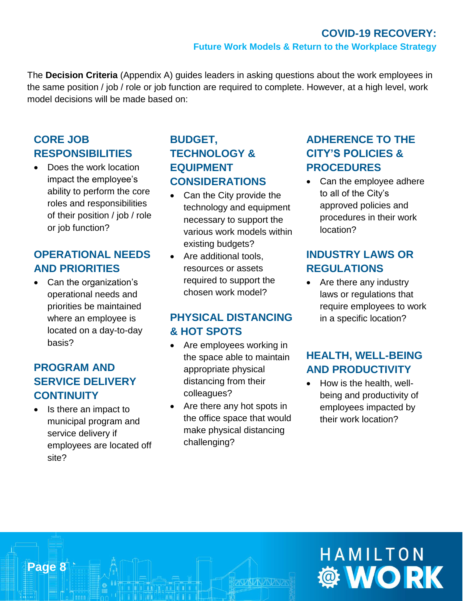The **Decision Criteria** (Appendix A) guides leaders in asking questions about the work employees in the same position / job / role or job function are required to complete. However, at a high level, work model decisions will be made based on:

#### **CORE JOB RESPONSIBILITIES**

• Does the work location impact the employee's ability to perform the core roles and responsibilities of their position / job / role or job function?

#### **OPERATIONAL NEEDS AND PRIORITIES**

• Can the organization's operational needs and priorities be maintained where an employee is located on a day-to-day basis?

#### **PROGRAM AND SERVICE DELIVERY CONTINUITY**

• Is there an impact to municipal program and service delivery if employees are located off site?

**Page 8**

#### **BUDGET, TECHNOLOGY & EQUIPMENT CONSIDERATIONS**

- Can the City provide the technology and equipment necessary to support the various work models within existing budgets?
- Are additional tools, resources or assets required to support the chosen work model?

#### **PHYSICAL DISTANCING & HOT SPOTS**

- Are employees working in the space able to maintain appropriate physical distancing from their colleagues?
- Are there any hot spots in the office space that would make physical distancing challenging?

#### **ADHERENCE TO THE CITY'S POLICIES & PROCEDURES**

Can the employee adhere to all of the City's approved policies and procedures in their work location?

#### **INDUSTRY LAWS OR REGULATIONS**

Are there any industry laws or regulations that require employees to work in a specific location?

#### **HEALTH, WELL-BEING AND PRODUCTIVITY**

• How is the health, wellbeing and productivity of employees impacted by their work location?

# HAMILTON **© WORK**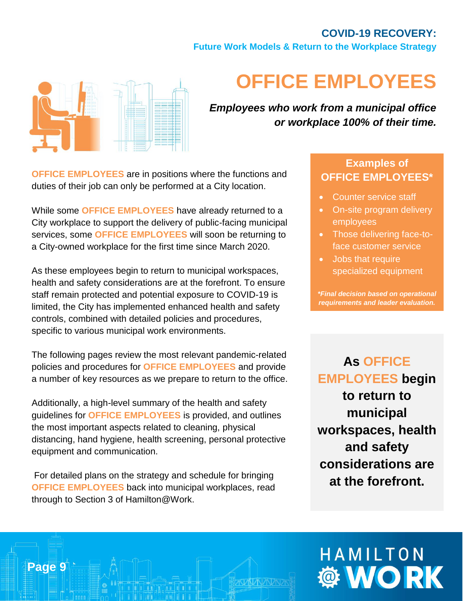**Future Work Models & Return to the Workplace Strategy**



## <span id="page-8-0"></span>**OFFICE EMPLOYEES**

*Employees who work from a municipal office or workplace 100% of their time.*

**OFFICE EMPLOYEES** are in positions where the functions and duties of their job can only be performed at a City location.

While some **OFFICE EMPLOYEES** have already returned to a City workplace to support the delivery of public-facing municipal services, some **OFFICE EMPLOYEES** will soon be returning to a City-owned workplace for the first time since March 2020.

As these employees begin to return to municipal workspaces, health and safety considerations are at the forefront. To ensure staff remain protected and potential exposure to COVID-19 is limited, the City has implemented enhanced health and safety controls, combined with detailed policies and procedures, specific to various municipal work environments.

The following pages review the most relevant pandemic-related policies and procedures for **OFFICE EMPLOYEES** and provide a number of key resources as we prepare to return to the office.

Additionally, a high-level summary of the health and safety guidelines for **OFFICE EMPLOYEES** is provided, and outlines the most important aspects related to cleaning, physical distancing, hand hygiene, health screening, personal protective equipment and communication.

For detailed plans on the strategy and schedule for bringing **OFFICE EMPLOYEES** back into municipal workplaces, read through to Section 3 of Hamilton@Work.

**Page 9**

#### **Examples of OFFICE EMPLOYEES\***

- Counter service staff
- On-site program delivery employees
- Those delivering face-toface customer service
- Jobs that require specialized equipment

*\*Final decision based on operational requirements and leader evaluation.*

## **As OFFICE EMPLOYEES begin to return to municipal workspaces, health and safety considerations are at the forefront.**

# HAMILTON **Ö WORK**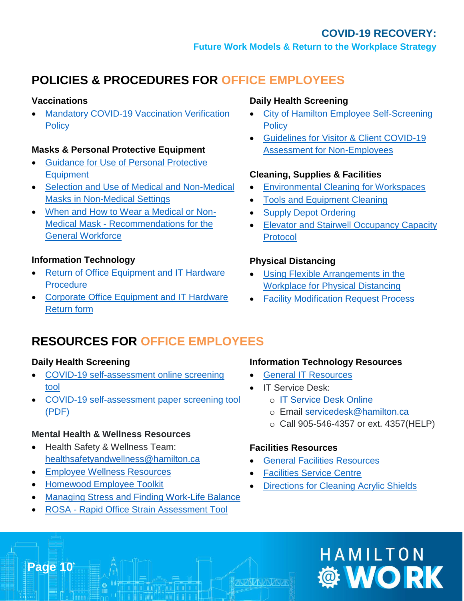## **POLICIES & PROCEDURES FOR OFFICE EMPLOYEES**

#### **Vaccinations**

• [Mandatory COVID-19 Vaccination Verification](http://bcos/IntelexLogin/Intelex/DocLink?id=EGiOV8u3s-vrKH7EgCARjZI8Rj0V7tyUI9O_n6REZxE52ay0x3iRHba-5MWYyjuk0)  **[Policy](http://bcos/IntelexLogin/Intelex/DocLink?id=EGiOV8u3s-vrKH7EgCARjZI8Rj0V7tyUI9O_n6REZxE52ay0x3iRHba-5MWYyjuk0)** 

#### **Masks & Personal Protective Equipment**

- [Guidance for Use of Personal Protective](http://bcos/IntelexLogin/Intelex/DocLink?id=txyjA6GAyDS65UOHyqCYTRkfzGhLzP1QssHse-lotl_b72KgbjqHhjUQrJG_gfgO0)  **[Equipment](http://bcos/IntelexLogin/Intelex/DocLink?id=txyjA6GAyDS65UOHyqCYTRkfzGhLzP1QssHse-lotl_b72KgbjqHhjUQrJG_gfgO0)**
- [Selection and Use of Medical and Non-Medical](http://bcos/IntelexLogin/Intelex/DocLink?id=g-dk3ALg7Gmaq6SVfVQF2N_op8mx2TubTm4LJT7qpLQuuY1b_Id9ihXVXL18B0ec0)  [Masks in Non-Medical Settings](http://bcos/IntelexLogin/Intelex/DocLink?id=g-dk3ALg7Gmaq6SVfVQF2N_op8mx2TubTm4LJT7qpLQuuY1b_Id9ihXVXL18B0ec0)
- [When and How to Wear a Medical or Non-](http://bcos/IntelexLogin/Intelex/DocLink?id=QoyYbZOJtTUmyxgwlAK166_j8bUUZcGUu0O8Tn2EX89-QYyOL_JWG1ZKndZ-LA5C0)Medical Mask - [Recommendations for the](http://bcos/IntelexLogin/Intelex/DocLink?id=QoyYbZOJtTUmyxgwlAK166_j8bUUZcGUu0O8Tn2EX89-QYyOL_JWG1ZKndZ-LA5C0)  [General Workforce](http://bcos/IntelexLogin/Intelex/DocLink?id=QoyYbZOJtTUmyxgwlAK166_j8bUUZcGUu0O8Tn2EX89-QYyOL_JWG1ZKndZ-LA5C0)

#### **Information Technology**

- [Return of Office Equipment and IT Hardware](http://bcos/IntelexLogin/Intelex/DocLink?id=rEBTF5MV_4DVzQRfR-1uTVgFQYOwWxIWDJFlA4S2pnkdi_epnfwB0p9guZTFzmkQ0)  **[Procedure](http://bcos/IntelexLogin/Intelex/DocLink?id=rEBTF5MV_4DVzQRfR-1uTVgFQYOwWxIWDJFlA4S2pnkdi_epnfwB0p9guZTFzmkQ0)**
- [Corporate Office Equipment and IT Hardware](http://bcos/IntelexLogin/Intelex/DocLink?id=81i_F2VfeIW8fUtMnphAP_SCBFvUIZmAMjBVx6VbNzdJ_04jNYHyJ4uOFP9B7jkE0)  [Return form](http://bcos/IntelexLogin/Intelex/DocLink?id=81i_F2VfeIW8fUtMnphAP_SCBFvUIZmAMjBVx6VbNzdJ_04jNYHyJ4uOFP9B7jkE0)

#### **Daily Health Screening**

- [City of Hamilton Employee Self-Screening](http://enet/DCOMM/whos_doing_what/CorporateCommunications/Covid-19/covidresources/employee-COVID19-health-self-screening-policy-May2020.pdf)  **[Policy](http://enet/DCOMM/whos_doing_what/CorporateCommunications/Covid-19/covidresources/employee-COVID19-health-self-screening-policy-May2020.pdf)**
- [Guidelines for Visitor & Client COVID-19](http://bcos/IntelexLogin/Intelex/DocLink?id=mz8v4Rc-AeA2hGvl05HE_Ktt66uovA_i7C3BwFSJLTo1J2EE-bQCkvyFaw5W1W8H0)  [Assessment for Non-Employees](http://bcos/IntelexLogin/Intelex/DocLink?id=mz8v4Rc-AeA2hGvl05HE_Ktt66uovA_i7C3BwFSJLTo1J2EE-bQCkvyFaw5W1W8H0)

#### **Cleaning, Supplies & Facilities**

- [Environmental Cleaning for Workspaces](http://bcos/IntelexLogin/Intelex/DocLink?id=W-uTAe-Opw3XKY3PgBjF0nn0ijsW_Rr4OUiptKFyjnaeKNfmCmjLUwWOmK6kfvci0)
- [Tools and Equipment Cleaning](http://bcos/IntelexLogin/Intelex/DocLink?id=sf3byg84o4Yvk8jIXONHBDr_mmvvZAjFxG-thG0ny63cB_m5DOvoRilo2NwBEkro0)
- [Supply Depot Ordering](http://bcos/IntelexLogin/Intelex/DocLink?id=G_XntqAD2EGHJ_OX9lAWHBh3VGsJ6dlWWs9biGUDIQWTWrC26DM3yZZCoqQ02g5o0)
- Elevator and Stairwell Occupancy Capacity [Protocol](http://bcos/IntelexLogin/Intelex/DocLink?id=U8kERIw2hrxwsikxUPXAE_ZXFRwxjuaF8nSqjAbWa2X-AFp0HBDxx5hMFGkd7McP0)

#### **Physical Distancing**

- [Using Flexible Arrangements in the](http://enet/DCOMM/whos_doing_what/CorporateCommunications/Covid-19/covidresources/flexible-arrangements-guideline-COVID-May2020.pdf)  [Workplace for Physical Distancing](http://enet/DCOMM/whos_doing_what/CorporateCommunications/Covid-19/covidresources/flexible-arrangements-guideline-COVID-May2020.pdf)
- **Facility Modification Request Process**

### **RESOURCES FOR OFFICE EMPLOYEES**

#### **Daily Health Screening**

- [COVID-19 self-assessment online screening](http://screening.hamilton.ca/)  [tool](http://screening.hamilton.ca/)
- [COVID-19 self-assessment paper screening tool](http://bcos/IntelexLogin/Intelex/DocLink?id=_D-Uw0xn82v4XjKthMFW8735FX9SQaWsulpSPVFjkJk78l20203pBkJr3yax9g1P0)  [\(PDF\)](http://bcos/IntelexLogin/Intelex/DocLink?id=_D-Uw0xn82v4XjKthMFW8735FX9SQaWsulpSPVFjkJk78l20203pBkJr3yax9g1P0)

#### **Mental Health & Wellness Resources**

- Health Safety & Wellness Team: [healthsafetyandwellness@hamilton.ca](mailto:healthsafetyandwellness@hamilton.ca)
- [Employee Wellness Resources](http://enet/DCOMM/whos_doing_what/CorporateCommunications/Covid-19/employee-wellness-resources.html)
- [Homewood Employee Toolkit](http://enet/DCOMM/whos_doing_what/CorporateCommunications/Covid-19/covidresources/COVID19-employee-toolkit.pdf)

**Page 10**

- [Managing Stress and Finding Work-Life Balance](http://enet/DCOMM/whos_doing_what/CorporateCommunications/Covid-19/covidresources/managing-stress-finding-work-life-balance-HHLIFELINES-%20Nov2019.pdf)
- ROSA [Rapid Office Strain Assessment Tool](http://enet/uploadfiles/ROSA%20Ergonomic%20.pdf)

#### **Information Technology Resources**

- [General IT Resources](http://enet/DCOMM/whos_doing_what/ITS/)
- IT Service Desk:
	- o [IT Service Desk Online](https://servicedesk.prod.hamilton.technology/HEAT/Default.aspx#1606510952123)
	- o Email [servicedesk@hamilton.ca](mailto:servicedesk@hamilton.ca)
	- o Call 905-546-4357 or ext. 4357(HELP)

#### **Facilities Resources**

- [General Facilities Resources](http://enet/DCOMM/whos_doing_what/Facilities/HomeNew/Facilities.htm)
- **[Facilities Service Centre](http://enet/DCOMM/whos_doing_what/Facilities/HomeNew/help_desk.htm)**
- [Directions for Cleaning Acrylic Shields](http://bcos/IntelexLogin/Intelex/DocLink?id=5jC3majnvCrkLwRW9LvMVk_L0DcYohooj7INXe87MRQbxb9pNwndHN23K49RST5Y0)

# HAMILTON *@ WORK*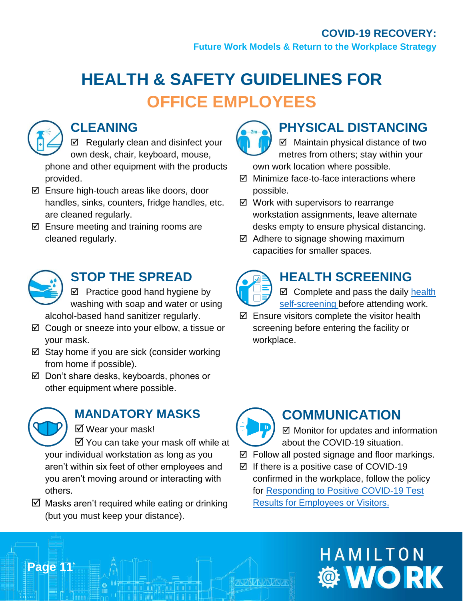**Future Work Models & Return to the Workplace Strategy**

## **HEALTH & SAFETY GUIDELINES FOR OFFICE EMPLOYEES**



## **CLEANING**

 $\boxtimes$  Regularly clean and disinfect your own desk, chair, keyboard, mouse, phone and other equipment with the products provided.

- $\boxtimes$  Ensure high-touch areas like doors, door handles, sinks, counters, fridge handles, etc. are cleaned regularly.
- $\boxtimes$  Ensure meeting and training rooms are cleaned regularly.



## **STOP THE SPREAD**

 $\boxtimes$  Practice good hand hygiene by washing with soap and water or using alcohol-based hand sanitizer regularly.

- $\boxtimes$  Cough or sneeze into your elbow, a tissue or your mask.
- $\boxtimes$  Stay home if you are sick (consider working from home if possible).
- Don't share desks, keyboards, phones or other equipment where possible.



**Page 11**

## **MANDATORY MASKS**

■ Wear your mask!

 $\boxtimes$  You can take your mask off while at your individual workstation as long as you aren't within six feet of other employees and you aren't moving around or interacting with others.

 $\boxtimes$  Masks aren't required while eating or drinking (but you must keep your distance).



## **PHYSICAL DISTANCING**

 $\boxtimes$  Maintain physical distance of two metres from others; stay within your own work location where possible.

- $\boxtimes$  Minimize face-to-face interactions where possible.
- $\boxtimes$  Work with supervisors to rearrange workstation assignments, leave alternate desks empty to ensure physical distancing.
- $\boxtimes$  Adhere to signage showing maximum capacities for smaller spaces.



## **HEALTH SCREENING**

 $\boxtimes$  Complete and pass the daily health [self-screening](https://screening.hamilton.ca/) before attending work.

 $\boxtimes$  Ensure visitors complete the visitor health screening before entering the facility or workplace.



## **COMMUNICATION**

 $\boxtimes$  Monitor for updates and information about the COVID-19 situation.

- Follow all posted signage and floor markings.
- $\boxtimes$  If there is a positive case of COVID-19 confirmed in the workplace, follow the policy for [Responding to Positive COVID-19 Test](http://bcos/IntelexLogin/Intelex/DocLink?id=KJjFNPKBf-NmAdak2w2Z52Dal3Lg8YSSLQuz4FlmPAarfn6l2kuoEbhK5m4O-IwS0)  [Results for Employees or Visitors.](http://bcos/IntelexLogin/Intelex/DocLink?id=KJjFNPKBf-NmAdak2w2Z52Dal3Lg8YSSLQuz4FlmPAarfn6l2kuoEbhK5m4O-IwS0)

# HAMILTON **WORK**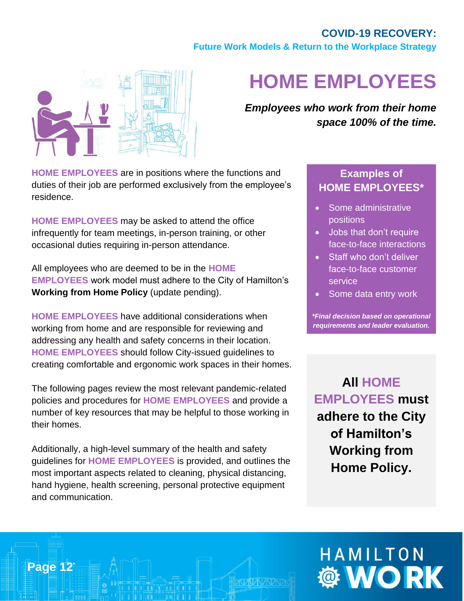**Future Work Models & Return to the Workplace Strategy**



## <span id="page-11-0"></span>**HOME EMPLOYEES**

*Employees who work from their home space 100% of the time.*

**HOME EMPLOYEES** are in positions where the functions and duties of their job are performed exclusively from the employee's residence.

**HOME EMPLOYEES** may be asked to attend the office infrequently for team meetings, in-person training, or other occasional duties requiring in-person attendance.

All employees who are deemed to be in the **HOME EMPLOYEES** work model must adhere to the City of Hamilton's **Working from Home Policy** (update pending).

**HOME EMPLOYEES** have additional considerations when working from home and are responsible for reviewing and addressing any health and safety concerns in their location. **HOME EMPLOYEES** should follow City-issued guidelines to creating comfortable and ergonomic work spaces in their homes.

The following pages review the most relevant pandemic-related policies and procedures for **HOME EMPLOYEES** and provide a number of key resources that may be helpful to those working in their homes.

Additionally, a high-level summary of the health and safety guidelines for **HOME EMPLOYEES** is provided, and outlines the most important aspects related to cleaning, physical distancing, hand hygiene, health screening, personal protective equipment and communication.

**Page 12**

#### **Examples of HOME EMPLOYEES\***

- Some administrative positions
- Jobs that don't require face-to-face interactions
- Staff who don't deliver face-to-face customer service
- Some data entry work

*\*Final decision based on operational requirements and leader evaluation.*

**All HOME EMPLOYEES must adhere to the City of Hamilton's Working from Home Policy.**

# HAMILTON **Ö WORK**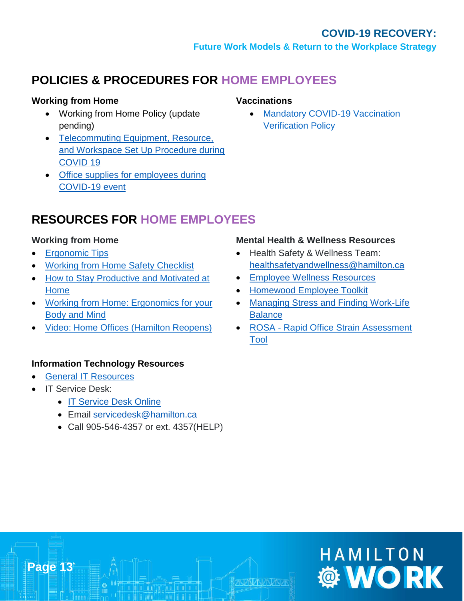## **POLICIES & PROCEDURES FOR HOME EMPLOYEES**

#### **Working from Home**

- Working from Home Policy (update pending)
- [Telecommuting Equipment, Resource,](http://www2.hamilton.ca/NR/HRFormsDocs/Telecommuting-equipment-resources-during-COVID19.pdf)  [and Workspace Set Up Procedure during](http://www2.hamilton.ca/NR/HRFormsDocs/Telecommuting-equipment-resources-during-COVID19.pdf)  [COVID 19](http://www2.hamilton.ca/NR/HRFormsDocs/Telecommuting-equipment-resources-during-COVID19.pdf)
- [Office supplies for employees during](http://enet/DCOMM/whos_doing_what/CorporateCommunications/Covid-19/covidresources/office-supplies-for-employees-during-covid19.pdf)  [COVID-19 event](http://enet/DCOMM/whos_doing_what/CorporateCommunications/Covid-19/covidresources/office-supplies-for-employees-during-covid19.pdf)

#### **Vaccinations**

**Mandatory COVID-19 Vaccination** [Verification Policy](http://bcos/IntelexLogin/Intelex/DocLink?id=EGiOV8u3s-vrKH7EgCARjZI8Rj0V7tyUI9O_n6REZxE52ay0x3iRHba-5MWYyjuk0)

### **RESOURCES FOR HOME EMPLOYEES**

#### **Working from Home**

- [Ergonomic Tips](http://www2.hamilton.ca/NR/HRFormsDocs/Telecommuting-Ergonomic-Tips-AppB-May2020.pdf)
- [Working from Home](http://www2.hamilton.ca/NR/rdonlyres/13EF7257-D580-4BF5-8292-2E838F021C56/0/FINALTelecommutingProcedure_Apr14.pdf) Safety Checklist
- [How to Stay Productive and Motivated at](https://www.hamilton.ca/sites/default/files/media/browser/2020-03-19/hh_infograph_stay_productive_and_motivated_en_18_mar_20.pdf)  [Home](https://www.hamilton.ca/sites/default/files/media/browser/2020-03-19/hh_infograph_stay_productive_and_motivated_en_18_mar_20.pdf)
- [Working from Home: Ergonomics for your](https://www.hamilton.ca/sites/default/files/media/browser/2020-03-26/workingfromhome-cohergotips.pdf)  [Body and Mind](https://www.hamilton.ca/sites/default/files/media/browser/2020-03-26/workingfromhome-cohergotips.pdf)
- [Video: Home Offices \(Hamilton Reopens\)](https://youtu.be/GXvs7Lqhqbk)

#### **Information Technology Resources**

- [General IT Resources](http://enet/DCOMM/whos_doing_what/ITS/)
- IT Service Desk:

**Page 13**

- [IT Service Desk Online](https://servicedesk.prod.hamilton.technology/HEAT/Default.aspx#1606510952123)
- Email [servicedesk@hamilton.ca](mailto:servicedesk@hamilton.ca)
- Call 905-546-4357 or ext. 4357(HELP)

#### **Mental Health & Wellness Resources**

- Health Safety & Wellness Team: [healthsafetyandwellness@hamilton.ca](mailto:healthsafetyandwellness@hamilton.ca)
- [Employee Wellness Resources](http://enet/DCOMM/whos_doing_what/CorporateCommunications/Covid-19/employee-wellness-resources.html)
- [Homewood Employee Toolkit](http://enet/DCOMM/whos_doing_what/CorporateCommunications/Covid-19/covidresources/COVID19-employee-toolkit.pdf)
- [Managing Stress and Finding Work-Life](http://enet/DCOMM/whos_doing_what/CorporateCommunications/Covid-19/covidresources/managing-stress-finding-work-life-balance-HHLIFELINES-%20Nov2019.pdf)  **[Balance](http://enet/DCOMM/whos_doing_what/CorporateCommunications/Covid-19/covidresources/managing-stress-finding-work-life-balance-HHLIFELINES-%20Nov2019.pdf)**
- ROSA [Rapid Office Strain Assessment](http://enet/uploadfiles/ROSA%20Ergonomic%20.pdf)  [Tool](http://enet/uploadfiles/ROSA%20Ergonomic%20.pdf)

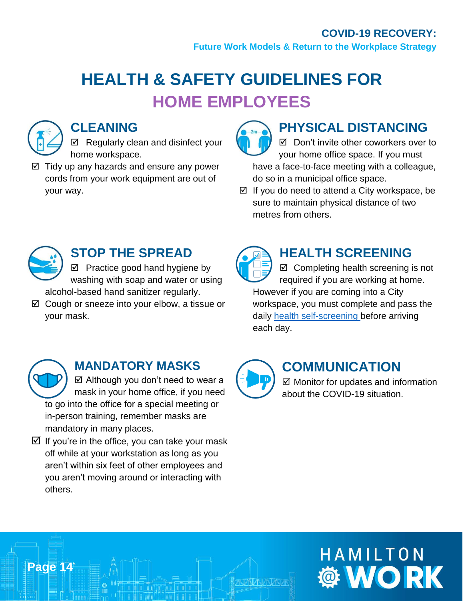**Future Work Models & Return to the Workplace Strategy**

## **HEALTH & SAFETY GUIDELINES FOR HOME EMPLOYEES**



## **CLEANING**

 $\boxtimes$  Regularly clean and disinfect your home workspace.

 $\boxtimes$  Tidy up any hazards and ensure any power cords from your work equipment are out of your way.



## **PHYSICAL DISTANCING**

■ Don't invite other coworkers over to your home office space. If you must have a face-to-face meeting with a colleague, do so in a municipal office space.

 $\boxtimes$  If you do need to attend a City workspace, be sure to maintain physical distance of two metres from others.



## **STOP THE SPREAD**

 $\boxtimes$  Practice good hand hygiene by washing with soap and water or using alcohol-based hand sanitizer regularly.

 $\boxtimes$  Cough or sneeze into your elbow, a tissue or your mask.

## **HEALTH SCREENING**

 $\boxtimes$  Completing health screening is not required if you are working at home. However if you are coming into a City workspace, you must complete and pass the daily [health self-screening](https://screening.hamilton.ca/) before arriving each day.



**Page 14**

## **MANDATORY MASKS**

 $\boxtimes$  Although you don't need to wear a mask in your home office, if you need to go into the office for a special meeting or in-person training, remember masks are mandatory in many places.

 $\boxtimes$  If you're in the office, you can take your mask off while at your workstation as long as you aren't within six feet of other employees and you aren't moving around or interacting with others.

## **COMMUNICATION**

 $\boxtimes$  Monitor for updates and information about the COVID-19 situation.

# HAMILTON **WORK**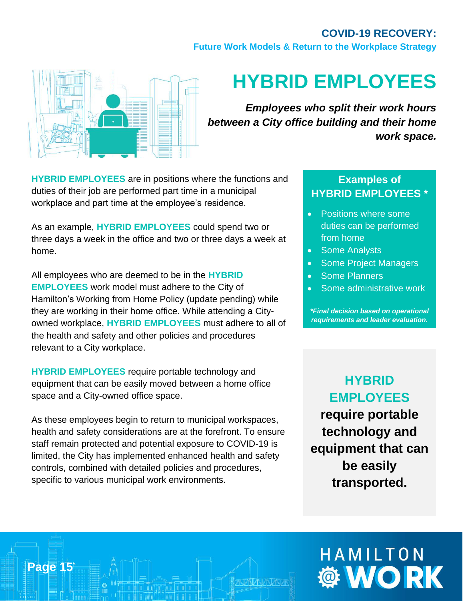**Future Work Models & Return to the Workplace Strategy**



## <span id="page-14-0"></span>**HYBRID EMPLOYEES**

*Employees who split their work hours between a City office building and their home work space.*

**HYBRID EMPLOYEES** are in positions where the functions and duties of their job are performed part time in a municipal workplace and part time at the employee's residence.

As an example, **HYBRID EMPLOYEES** could spend two or three days a week in the office and two or three days a week at home.

All employees who are deemed to be in the **HYBRID EMPLOYEES** work model must adhere to the City of Hamilton's Working from Home Policy (update pending) while they are working in their home office. While attending a Cityowned workplace, **HYBRID EMPLOYEES** must adhere to all of the health and safety and other policies and procedures relevant to a City workplace.

**HYBRID EMPLOYEES** require portable technology and equipment that can be easily moved between a home office space and a City-owned office space.

As these employees begin to return to municipal workspaces, health and safety considerations are at the forefront. To ensure staff remain protected and potential exposure to COVID-19 is limited, the City has implemented enhanced health and safety controls, combined with detailed policies and procedures, specific to various municipal work environments.

**Page 15**

#### **Examples of HYBRID EMPLOYEES \***

- Positions where some duties can be performed from home
- Some Analysts
- Some Project Managers
- Some Planners
- Some administrative work

*\*Final decision based on operational requirements and leader evaluation.*

**HYBRID EMPLOYEES require portable technology and equipment that can be easily transported.**

# HAMILTON **© WORK**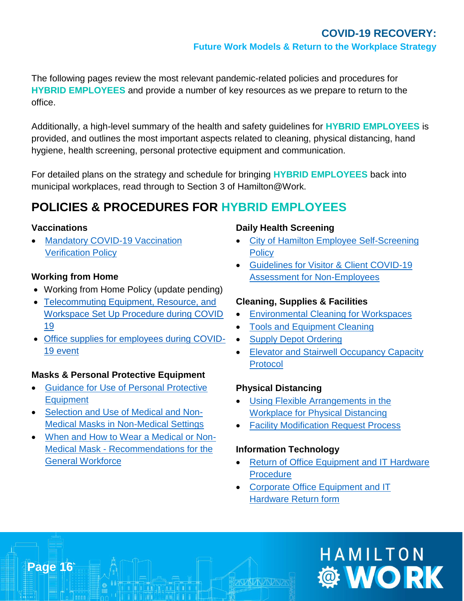The following pages review the most relevant pandemic-related policies and procedures for **HYBRID EMPLOYEES** and provide a number of key resources as we prepare to return to the office.

Additionally, a high-level summary of the health and safety guidelines for **HYBRID EMPLOYEES** is provided, and outlines the most important aspects related to cleaning, physical distancing, hand hygiene, health screening, personal protective equipment and communication.

For detailed plans on the strategy and schedule for bringing **HYBRID EMPLOYEES** back into municipal workplaces, read through to Section 3 of Hamilton@Work.

## **POLICIES & PROCEDURES FOR HYBRID EMPLOYEES**

#### **Vaccinations**

**Page 16**

**Mandatory COVID-19 Vaccination** [Verification Policy](http://bcos/IntelexLogin/Intelex/DocLink?id=EGiOV8u3s-vrKH7EgCARjZI8Rj0V7tyUI9O_n6REZxE52ay0x3iRHba-5MWYyjuk0)

#### **Working from Home**

- Working from Home Policy (update pending)
- [Telecommuting Equipment, Resource, and](http://www2.hamilton.ca/NR/HRFormsDocs/Telecommuting-equipment-resources-during-COVID19.pdf)  [Workspace Set Up Procedure during COVID](http://www2.hamilton.ca/NR/HRFormsDocs/Telecommuting-equipment-resources-during-COVID19.pdf)  [19](http://www2.hamilton.ca/NR/HRFormsDocs/Telecommuting-equipment-resources-during-COVID19.pdf)
- [Office supplies for employees during COVID-](http://enet/DCOMM/whos_doing_what/CorporateCommunications/Covid-19/covidresources/office-supplies-for-employees-during-covid19.pdf)[19 event](http://enet/DCOMM/whos_doing_what/CorporateCommunications/Covid-19/covidresources/office-supplies-for-employees-during-covid19.pdf)

#### **Masks & Personal Protective Equipment**

- [Guidance for Use of Personal Protective](http://bcos/IntelexLogin/Intelex/DocLink?id=txyjA6GAyDS65UOHyqCYTRkfzGhLzP1QssHse-lotl_b72KgbjqHhjUQrJG_gfgO0)  [Equipment](http://bcos/IntelexLogin/Intelex/DocLink?id=txyjA6GAyDS65UOHyqCYTRkfzGhLzP1QssHse-lotl_b72KgbjqHhjUQrJG_gfgO0)
- [Selection and Use of Medical and Non-](http://bcos/IntelexLogin/Intelex/DocLink?id=g-dk3ALg7Gmaq6SVfVQF2N_op8mx2TubTm4LJT7qpLQuuY1b_Id9ihXVXL18B0ec0)[Medical Masks in Non-Medical Settings](http://bcos/IntelexLogin/Intelex/DocLink?id=g-dk3ALg7Gmaq6SVfVQF2N_op8mx2TubTm4LJT7qpLQuuY1b_Id9ihXVXL18B0ec0)
- [When and How to Wear a Medical or Non-](http://bcos/IntelexLogin/Intelex/DocLink?id=QoyYbZOJtTUmyxgwlAK166_j8bUUZcGUu0O8Tn2EX89-QYyOL_JWG1ZKndZ-LA5C0)Medical Mask - [Recommendations for the](http://bcos/IntelexLogin/Intelex/DocLink?id=QoyYbZOJtTUmyxgwlAK166_j8bUUZcGUu0O8Tn2EX89-QYyOL_JWG1ZKndZ-LA5C0)  [General Workforce](http://bcos/IntelexLogin/Intelex/DocLink?id=QoyYbZOJtTUmyxgwlAK166_j8bUUZcGUu0O8Tn2EX89-QYyOL_JWG1ZKndZ-LA5C0)

#### **Daily Health Screening**

- [City of Hamilton Employee Self-Screening](http://enet/DCOMM/whos_doing_what/CorporateCommunications/Covid-19/covidresources/employee-COVID19-health-self-screening-policy-May2020.pdf)  **[Policy](http://enet/DCOMM/whos_doing_what/CorporateCommunications/Covid-19/covidresources/employee-COVID19-health-self-screening-policy-May2020.pdf)**
- **Guidelines for Visitor & Client COVID-19** [Assessment for Non-Employees](http://bcos/IntelexLogin/Intelex/DocLink?id=mz8v4Rc-AeA2hGvl05HE_Ktt66uovA_i7C3BwFSJLTo1J2EE-bQCkvyFaw5W1W8H0)

#### **Cleaning, Supplies & Facilities**

- [Environmental Cleaning for Workspaces](http://bcos/IntelexLogin/Intelex/DocLink?id=W-uTAe-Opw3XKY3PgBjF0nn0ijsW_Rr4OUiptKFyjnaeKNfmCmjLUwWOmK6kfvci0)
- [Tools and Equipment Cleaning](http://bcos/IntelexLogin/Intelex/DocLink?id=sf3byg84o4Yvk8jIXONHBDr_mmvvZAjFxG-thG0ny63cB_m5DOvoRilo2NwBEkro0)
- [Supply Depot Ordering](http://bcos/IntelexLogin/Intelex/DocLink?id=G_XntqAD2EGHJ_OX9lAWHBh3VGsJ6dlWWs9biGUDIQWTWrC26DM3yZZCoqQ02g5o0)
- [Elevator and Stairwell Occupancy Capacity](http://bcos/IntelexLogin/Intelex/DocLink?id=U8kERIw2hrxwsikxUPXAE_ZXFRwxjuaF8nSqjAbWa2X-AFp0HBDxx5hMFGkd7McP0)  [Protocol](http://bcos/IntelexLogin/Intelex/DocLink?id=U8kERIw2hrxwsikxUPXAE_ZXFRwxjuaF8nSqjAbWa2X-AFp0HBDxx5hMFGkd7McP0)

#### **Physical Distancing**

- [Using Flexible Arrangements in the](http://enet/DCOMM/whos_doing_what/CorporateCommunications/Covid-19/covidresources/flexible-arrangements-guideline-COVID-May2020.pdf)  [Workplace for Physical Distancing](http://enet/DCOMM/whos_doing_what/CorporateCommunications/Covid-19/covidresources/flexible-arrangements-guideline-COVID-May2020.pdf)
- [Facility Modification Request Process](http://bcos/IntelexLogin/Intelex/DocLink?id=c19jWhMOLgc8TvKHUpTO9HD_87XCjwsyBlhJlTu9nMuQRhJg-zLljGmAR3b8j-ls0)

#### **Information Technology**

- [Return of Office Equipment and IT Hardware](http://bcos/IntelexLogin/Intelex/DocLink?id=rEBTF5MV_4DVzQRfR-1uTVgFQYOwWxIWDJFlA4S2pnkdi_epnfwB0p9guZTFzmkQ0)  **[Procedure](http://bcos/IntelexLogin/Intelex/DocLink?id=rEBTF5MV_4DVzQRfR-1uTVgFQYOwWxIWDJFlA4S2pnkdi_epnfwB0p9guZTFzmkQ0)**
- [Corporate Office Equipment and IT](http://bcos/IntelexLogin/Intelex/DocLink?id=81i_F2VfeIW8fUtMnphAP_SCBFvUIZmAMjBVx6VbNzdJ_04jNYHyJ4uOFP9B7jkE0)  [Hardware Return form](http://bcos/IntelexLogin/Intelex/DocLink?id=81i_F2VfeIW8fUtMnphAP_SCBFvUIZmAMjBVx6VbNzdJ_04jNYHyJ4uOFP9B7jkE0)

# HAMILTON **© WORK**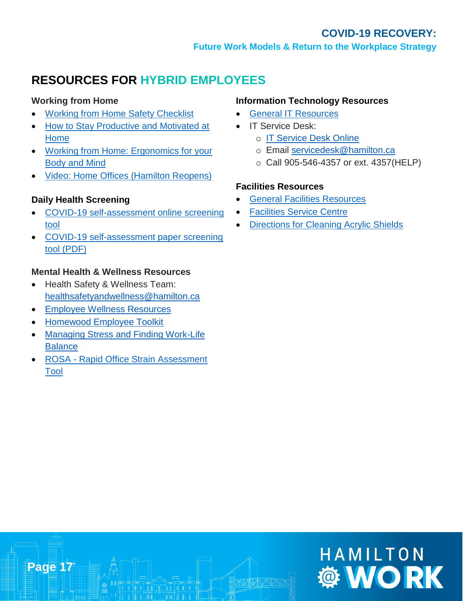**Future Work Models & Return to the Workplace Strategy**

### **RESOURCES FOR HYBRID EMPLOYEES**

#### **Working from Home**

- [Working from Home Safety Checklist](http://enet/DCOMM/whos_doing_what/CorporateCommunications/Covid-19/employee-resources.html)
- [How to Stay Productive and Motivated at](https://www.hamilton.ca/sites/default/files/media/browser/2020-03-19/hh_infograph_stay_productive_and_motivated_en_18_mar_20.pdf)  [Home](https://www.hamilton.ca/sites/default/files/media/browser/2020-03-19/hh_infograph_stay_productive_and_motivated_en_18_mar_20.pdf)
- [Working from Home: Ergonomics for your](https://www.hamilton.ca/sites/default/files/media/browser/2020-03-26/workingfromhome-cohergotips.pdf)  [Body and Mind](https://www.hamilton.ca/sites/default/files/media/browser/2020-03-26/workingfromhome-cohergotips.pdf)
- [Video: Home Offices \(Hamilton Reopens\)](https://youtu.be/GXvs7Lqhqbk)

#### **Daily Health Screening**

- [COVID-19 self-assessment online screening](http://screening.hamilton.ca/)  [tool](http://screening.hamilton.ca/)
- [COVID-19 self-assessment paper screening](http://bcos/IntelexLogin/Intelex/DocLink?id=_D-Uw0xn82v4XjKthMFW8735FX9SQaWsulpSPVFjkJk78l20203pBkJr3yax9g1P0)  [tool \(PDF\)](http://bcos/IntelexLogin/Intelex/DocLink?id=_D-Uw0xn82v4XjKthMFW8735FX9SQaWsulpSPVFjkJk78l20203pBkJr3yax9g1P0)

#### **Mental Health & Wellness Resources**

- Health Safety & Wellness Team: [healthsafetyandwellness@hamilton.ca](mailto:healthsafetyandwellness@hamilton.ca)
- [Employee Wellness Resources](http://enet/DCOMM/whos_doing_what/CorporateCommunications/Covid-19/employee-wellness-resources.html)
- [Homewood Employee Toolkit](http://enet/DCOMM/whos_doing_what/CorporateCommunications/Covid-19/covidresources/COVID19-employee-toolkit.pdf)

**Page 17**

- [Managing Stress and Finding Work-Life](http://enet/DCOMM/whos_doing_what/CorporateCommunications/Covid-19/covidresources/managing-stress-finding-work-life-balance-HHLIFELINES-%20Nov2019.pdf)  **[Balance](http://enet/DCOMM/whos_doing_what/CorporateCommunications/Covid-19/covidresources/managing-stress-finding-work-life-balance-HHLIFELINES-%20Nov2019.pdf)**
- ROSA [Rapid Office Strain Assessment](http://enet/uploadfiles/ROSA%20Ergonomic%20.pdf)  [Tool](http://enet/uploadfiles/ROSA%20Ergonomic%20.pdf)

#### **Information Technology Resources**

- [General IT Resources](http://enet/DCOMM/whos_doing_what/ITS/)
- IT Service Desk:
	- o [IT Service Desk Online](https://servicedesk.prod.hamilton.technology/HEAT/Default.aspx#1606510952123)
	- o Email [servicedesk@hamilton.ca](mailto:servicedesk@hamilton.ca)
	- o Call 905-546-4357 or ext. 4357(HELP)

#### **Facilities Resources**

- [General Facilities Resources](http://enet/DCOMM/whos_doing_what/Facilities/HomeNew/Facilities.htm)
- **[Facilities Service Centre](http://enet/DCOMM/whos_doing_what/Facilities/HomeNew/help_desk.htm)**
- **[Directions for Cleaning Acrylic Shields](http://bcos/IntelexLogin/Intelex/DocLink?id=5jC3majnvCrkLwRW9LvMVk_L0DcYohooj7INXe87MRQbxb9pNwndHN23K49RST5Y0)**

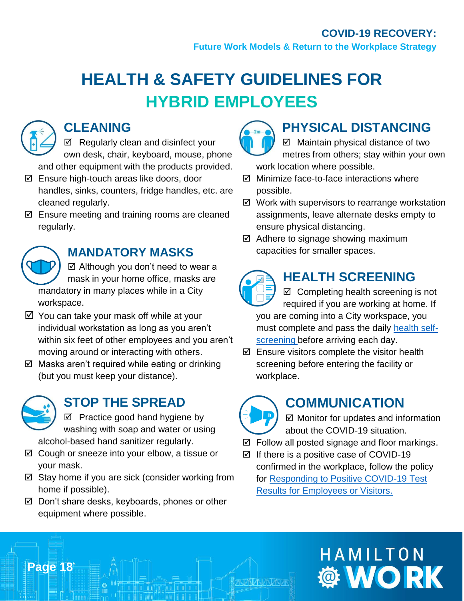**Future Work Models & Return to the Workplace Strategy**

## **HEALTH & SAFETY GUIDELINES FOR HYBRID EMPLOYEES**



### **CLEANING**

 $\boxtimes$  Regularly clean and disinfect your own desk, chair, keyboard, mouse, phone and other equipment with the products provided.

- Ensure high-touch areas like doors, door handles, sinks, counters, fridge handles, etc. are cleaned regularly.
- $\boxtimes$  Ensure meeting and training rooms are cleaned regularly.

## **MANDATORY MASKS**

 Although you don't need to wear a mask in your home office, masks are mandatory in many places while in a City workspace.

- $\boxtimes$  You can take your mask off while at your individual workstation as long as you aren't within six feet of other employees and you aren't moving around or interacting with others.
- $\boxtimes$  Masks aren't required while eating or drinking (but you must keep your distance).



**Page 18**

### **STOP THE SPREAD**

 $\boxtimes$  Practice good hand hygiene by washing with soap and water or using alcohol-based hand sanitizer regularly.

- $\boxtimes$  Cough or sneeze into your elbow, a tissue or your mask.
- $\boxtimes$  Stay home if you are sick (consider working from home if possible).
- $\boxtimes$  Don't share desks, keyboards, phones or other equipment where possible.



## **PHYSICAL DISTANCING**

 $\boxtimes$  Maintain physical distance of two metres from others; stay within your own work location where possible.

- $\boxtimes$  Minimize face-to-face interactions where possible.
- $\boxtimes$  Work with supervisors to rearrange workstation assignments, leave alternate desks empty to ensure physical distancing.
- $\boxtimes$  Adhere to signage showing maximum capacities for smaller spaces.



## **HEALTH SCREENING**

- $\boxtimes$  Completing health screening is not required if you are working at home. If you are coming into a City workspace, you must complete and pass the daily [health self](https://screening.hamilton.ca/)[screening](https://screening.hamilton.ca/) before arriving each day.
- $\boxtimes$  Ensure visitors complete the visitor health screening before entering the facility or workplace.

## **COMMUNICATION**

 $\boxtimes$  Monitor for updates and information about the COVID-19 situation.

- $\boxtimes$  Follow all posted signage and floor markings.
- $\boxtimes$  If there is a positive case of COVID-19 confirmed in the workplace, follow the policy for [Responding to Positive COVID-19 Test](http://bcos/IntelexLogin/Intelex/DocLink?id=KJjFNPKBf-NmAdak2w2Z52Dal3Lg8YSSLQuz4FlmPAarfn6l2kuoEbhK5m4O-IwS0)  [Results for Employees or Visitors.](http://bcos/IntelexLogin/Intelex/DocLink?id=KJjFNPKBf-NmAdak2w2Z52Dal3Lg8YSSLQuz4FlmPAarfn6l2kuoEbhK5m4O-IwS0)

# HAMILTON **WORK**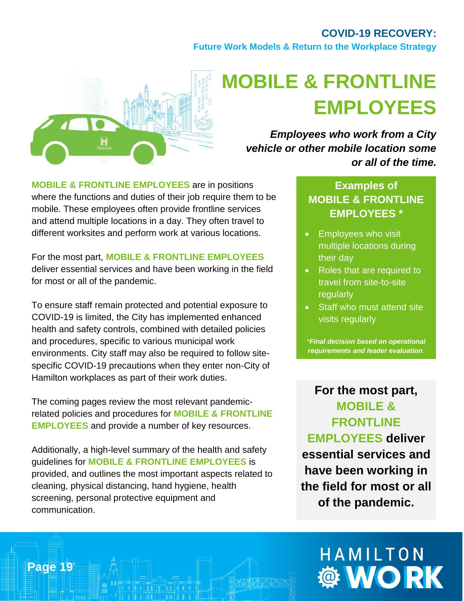**Future Work Models & Return to the Workplace Strategy**



# <span id="page-18-0"></span>**MOBILE & FRONTLINE EMPLOYEES**

*Employees who work from a City vehicle or other mobile location some or all of the time.*

**MOBILE & FRONTLINE EMPLOYEES** are in positions where the functions and duties of their job require them to be mobile. These employees often provide frontline services and attend multiple locations in a day. They often travel to different worksites and perform work at various locations.

For the most part, **MOBILE & FRONTLINE EMPLOYEES**  deliver essential services and have been working in the field for most or all of the pandemic.

To ensure staff remain protected and potential exposure to COVID-19 is limited, the City has implemented enhanced health and safety controls, combined with detailed policies and procedures, specific to various municipal work environments. City staff may also be required to follow sitespecific COVID-19 precautions when they enter non-City of Hamilton workplaces as part of their work duties.

The coming pages review the most relevant pandemicrelated policies and procedures for **MOBILE & FRONTLINE EMPLOYEES** and provide a number of key resources.

Additionally, a high-level summary of the health and safety guidelines for **MOBILE & FRONTLINE EMPLOYEES** is provided, and outlines the most important aspects related to cleaning, physical distancing, hand hygiene, health screening, personal protective equipment and communication.

**Page 19**

#### **Examples of MOBILE & FRONTLINE EMPLOYEES \***

- Employees who visit multiple locations during their day
- Roles that are required to travel from site-to-site regularly
- Staff who must attend site visits regularly

*\*Final decision based on operational requirements and leader evaluation.*

**For the most part, MOBILE & FRONTLINE EMPLOYEES deliver essential services and have been working in the field for most or all of the pandemic.**

# HAMILTON **Ö WORK**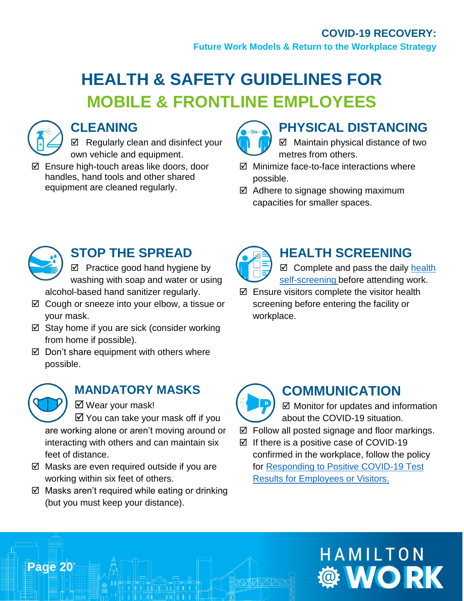**Future Work Models & Return to the Workplace Strategy**

## **HEALTH & SAFETY GUIDELINES FOR MOBILE & FRONTLINE EMPLOYEES**



### **CLEANING**

 $\boxtimes$  Regularly clean and disinfect your own vehicle and equipment.

 Ensure high-touch areas like doors, door handles, hand tools and other shared equipment are cleaned regularly.

## **PHYSICAL DISTANCING**

- $\boxtimes$  Maintain physical distance of two metres from others.
- $\boxtimes$  Minimize face-to-face interactions where possible.
- $\boxtimes$  Adhere to signage showing maximum capacities for smaller spaces.



## **STOP THE SPREAD**

 $\boxtimes$  Practice good hand hygiene by washing with soap and water or using alcohol-based hand sanitizer regularly.

- $\boxtimes$  Cough or sneeze into your elbow, a tissue or your mask.
- $\boxtimes$  Stay home if you are sick (consider working from home if possible).
- $\boxtimes$  Don't share equipment with others where possible.



**Page 20**

## **MANDATORY MASKS**

Wear your mask!

 $\boxtimes$  You can take your mask off if you are working alone or aren't moving around or interacting with others and can maintain six feet of distance.

- $\boxtimes$  Masks are even required outside if you are working within six feet of others.
- $\boxtimes$  Masks aren't required while eating or drinking (but you must keep your distance).



## **HEALTH SCREENING**

 $\boxtimes$  Complete and pass the daily health [self-screening](https://screening.hamilton.ca/) before attending work.

 $\boxtimes$  Ensure visitors complete the visitor health screening before entering the facility or workplace.



## **COMMUNICATION**

■ Monitor for updates and information about the COVID-19 situation.

- $\boxtimes$  Follow all posted signage and floor markings.
- $\boxtimes$  If there is a positive case of COVID-19 confirmed in the workplace, follow the policy for [Responding to Positive COVID-19 Test](http://bcos/IntelexLogin/Intelex/DocLink?id=KJjFNPKBf-NmAdak2w2Z52Dal3Lg8YSSLQuz4FlmPAarfn6l2kuoEbhK5m4O-IwS0)  [Results for Employees or Visitors.](http://bcos/IntelexLogin/Intelex/DocLink?id=KJjFNPKBf-NmAdak2w2Z52Dal3Lg8YSSLQuz4FlmPAarfn6l2kuoEbhK5m4O-IwS0)

# HAMILTON **WORK**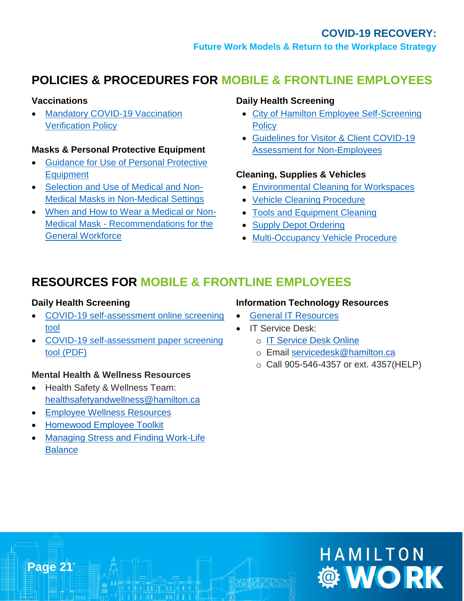## **POLICIES & PROCEDURES FOR MOBILE & FRONTLINE EMPLOYEES**

#### **Vaccinations**

**Mandatory COVID-19 Vaccination** [Verification Policy](http://bcos/IntelexLogin/Intelex/DocLink?id=EGiOV8u3s-vrKH7EgCARjZI8Rj0V7tyUI9O_n6REZxE52ay0x3iRHba-5MWYyjuk0)

#### **Masks & Personal Protective Equipment**

- [Guidance for Use of Personal Protective](http://bcos/IntelexLogin/Intelex/DocLink?id=txyjA6GAyDS65UOHyqCYTRkfzGhLzP1QssHse-lotl_b72KgbjqHhjUQrJG_gfgO0)  **[Equipment](http://bcos/IntelexLogin/Intelex/DocLink?id=txyjA6GAyDS65UOHyqCYTRkfzGhLzP1QssHse-lotl_b72KgbjqHhjUQrJG_gfgO0)**
- [Selection and Use of Medical and Non-](http://bcos/IntelexLogin/Intelex/DocLink?id=g-dk3ALg7Gmaq6SVfVQF2N_op8mx2TubTm4LJT7qpLQuuY1b_Id9ihXVXL18B0ec0)[Medical Masks in Non-Medical Settings](http://bcos/IntelexLogin/Intelex/DocLink?id=g-dk3ALg7Gmaq6SVfVQF2N_op8mx2TubTm4LJT7qpLQuuY1b_Id9ihXVXL18B0ec0)
- [When and How to Wear a Medical or Non-](http://bcos/IntelexLogin/Intelex/DocLink?id=QoyYbZOJtTUmyxgwlAK166_j8bUUZcGUu0O8Tn2EX89-QYyOL_JWG1ZKndZ-LA5C0)Medical Mask - [Recommendations for the](http://bcos/IntelexLogin/Intelex/DocLink?id=QoyYbZOJtTUmyxgwlAK166_j8bUUZcGUu0O8Tn2EX89-QYyOL_JWG1ZKndZ-LA5C0)  [General Workforce](http://bcos/IntelexLogin/Intelex/DocLink?id=QoyYbZOJtTUmyxgwlAK166_j8bUUZcGUu0O8Tn2EX89-QYyOL_JWG1ZKndZ-LA5C0)

#### **Daily Health Screening**

- [City of Hamilton Employee Self-Screening](http://enet/DCOMM/whos_doing_what/CorporateCommunications/Covid-19/covidresources/employee-COVID19-health-self-screening-policy-May2020.pdf)  **[Policy](http://enet/DCOMM/whos_doing_what/CorporateCommunications/Covid-19/covidresources/employee-COVID19-health-self-screening-policy-May2020.pdf)**
- [Guidelines for Visitor & Client COVID-19](http://bcos/IntelexLogin/Intelex/DocLink?id=mz8v4Rc-AeA2hGvl05HE_Ktt66uovA_i7C3BwFSJLTo1J2EE-bQCkvyFaw5W1W8H0)  [Assessment for Non-Employees](http://bcos/IntelexLogin/Intelex/DocLink?id=mz8v4Rc-AeA2hGvl05HE_Ktt66uovA_i7C3BwFSJLTo1J2EE-bQCkvyFaw5W1W8H0)

#### **Cleaning, Supplies & Vehicles**

- [Environmental Cleaning for Workspaces](http://bcos/IntelexLogin/Intelex/DocLink?id=W-uTAe-Opw3XKY3PgBjF0nn0ijsW_Rr4OUiptKFyjnaeKNfmCmjLUwWOmK6kfvci0)
- [Vehicle Cleaning Procedure](http://bcos/IntelexLogin/Intelex/DocLink?id=W_DtEzjlSqyAgVHJOuUKPeztJ9y1fNjb4PSZ8M1-pNcP7mKm1qm3BViTJyAZ5GKD0)
- [Tools and Equipment Cleaning](http://bcos/IntelexLogin/Intelex/DocLink?id=sf3byg84o4Yvk8jIXONHBDr_mmvvZAjFxG-thG0ny63cB_m5DOvoRilo2NwBEkro0)
- [Supply Depot Ordering](http://bcos/IntelexLogin/Intelex/DocLink?id=G_XntqAD2EGHJ_OX9lAWHBh3VGsJ6dlWWs9biGUDIQWTWrC26DM3yZZCoqQ02g5o0)
- [Multi-Occupancy Vehicle Procedure](http://bcos/IntelexLogin/Intelex/DocLink?id=3M8nLS3X0ENk5DxbzIYlDx0HyCrB0BNYS3yKcC7tKxGMTo4oUGlI-QRGxvqjrR0-0)

### **RESOURCES FOR MOBILE & FRONTLINE EMPLOYEES**

#### **Daily Health Screening**

- [COVID-19 self-assessment online screening](http://screening.hamilton.ca/)  [tool](http://screening.hamilton.ca/)
- [COVID-19 self-assessment paper screening](http://bcos/IntelexLogin/Intelex/DocLink?id=_D-Uw0xn82v4XjKthMFW8735FX9SQaWsulpSPVFjkJk78l20203pBkJr3yax9g1P0)  [tool \(PDF\)](http://bcos/IntelexLogin/Intelex/DocLink?id=_D-Uw0xn82v4XjKthMFW8735FX9SQaWsulpSPVFjkJk78l20203pBkJr3yax9g1P0)

#### **Mental Health & Wellness Resources**

- Health Safety & Wellness Team: [healthsafetyandwellness@hamilton.ca](mailto:healthsafetyandwellness@hamilton.ca)
- [Employee Wellness Resources](http://enet/DCOMM/whos_doing_what/CorporateCommunications/Covid-19/employee-wellness-resources.html)
- [Homewood Employee Toolkit](http://enet/DCOMM/whos_doing_what/CorporateCommunications/Covid-19/covidresources/COVID19-employee-toolkit.pdf)

**Page 21**

• [Managing Stress and Finding Work-Life](http://enet/DCOMM/whos_doing_what/CorporateCommunications/Covid-19/covidresources/managing-stress-finding-work-life-balance-HHLIFELINES-%20Nov2019.pdf)  **[Balance](http://enet/DCOMM/whos_doing_what/CorporateCommunications/Covid-19/covidresources/managing-stress-finding-work-life-balance-HHLIFELINES-%20Nov2019.pdf)** 

#### **Information Technology Resources**

- [General IT Resources](http://enet/DCOMM/whos_doing_what/ITS/)
- IT Service Desk:
	- o [IT Service Desk Online](https://servicedesk.prod.hamilton.technology/HEAT/Default.aspx#1606510952123)
	- o Email [servicedesk@hamilton.ca](mailto:servicedesk@hamilton.ca)
	- o Call 905-546-4357 or ext. 4357(HELP)

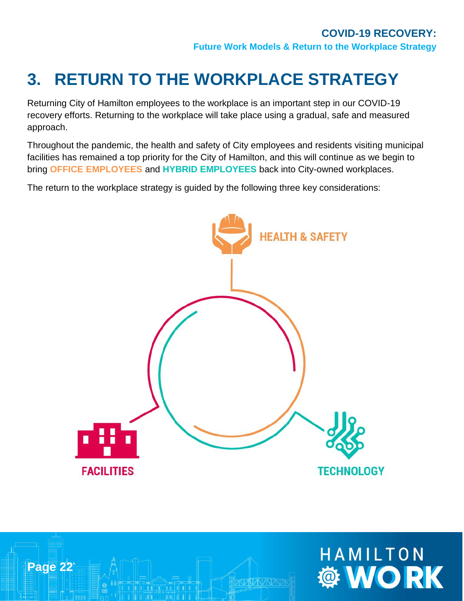## <span id="page-21-0"></span>**3. RETURN TO THE WORKPLACE STRATEGY**

Returning City of Hamilton employees to the workplace is an important step in our COVID-19 recovery efforts. Returning to the workplace will take place using a gradual, safe and measured approach.

Throughout the pandemic, the health and safety of City employees and residents visiting municipal facilities has remained a top priority for the City of Hamilton, and this will continue as we begin to bring **OFFICE EMPLOYEES** and **HYBRID EMPLOYEES** back into City-owned workplaces.

The return to the workplace strategy is guided by the following three key considerations:





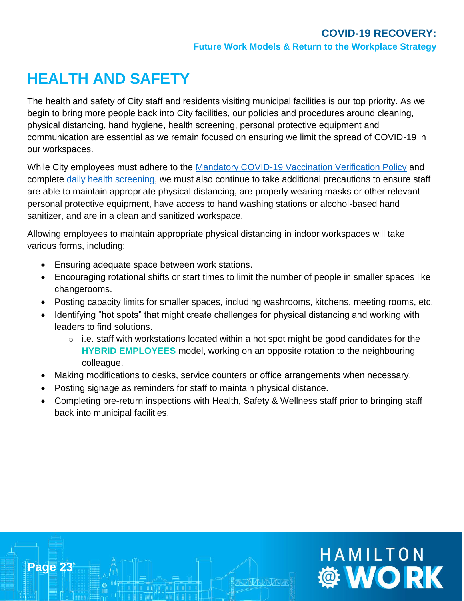HAMILTON

**OF WORK** 

## **HEALTH AND SAFETY**

**Page 23**

The health and safety of City staff and residents visiting municipal facilities is our top priority. As we begin to bring more people back into City facilities, our policies and procedures around cleaning, physical distancing, hand hygiene, health screening, personal protective equipment and communication are essential as we remain focused on ensuring we limit the spread of COVID-19 in our workspaces.

While City employees must adhere to the [Mandatory COVID-19 Vaccination Verification Policy](http://bcos/IntelexLogin/Intelex/DocLink?id=EGiOV8u3s-vrKH7EgCARjZI8Rj0V7tyUI9O_n6REZxE52ay0x3iRHba-5MWYyjuk0) and complete [daily health screening,](http://enet/DCOMM/whos_doing_what/CorporateCommunications/Covid-19/covidresources/employee-COVID19-health-self-screening-policy-May2020.pdf) we must also continue to take additional precautions to ensure staff are able to maintain appropriate physical distancing, are properly wearing masks or other relevant personal protective equipment, have access to hand washing stations or alcohol-based hand sanitizer, and are in a clean and sanitized workspace.

Allowing employees to maintain appropriate physical distancing in indoor workspaces will take various forms, including:

- Ensuring adequate space between work stations.
- Encouraging rotational shifts or start times to limit the number of people in smaller spaces like changerooms.
- Posting capacity limits for smaller spaces, including washrooms, kitchens, meeting rooms, etc.
- Identifying "hot spots" that might create challenges for physical distancing and working with leaders to find solutions.
	- $\circ$  i.e. staff with workstations located within a hot spot might be good candidates for the **HYBRID EMPLOYEES** model, working on an opposite rotation to the neighbouring colleague.
- Making modifications to desks, service counters or office arrangements when necessary.
- Posting signage as reminders for staff to maintain physical distance.
- Completing pre-return inspections with Health, Safety & Wellness staff prior to bringing staff back into municipal facilities.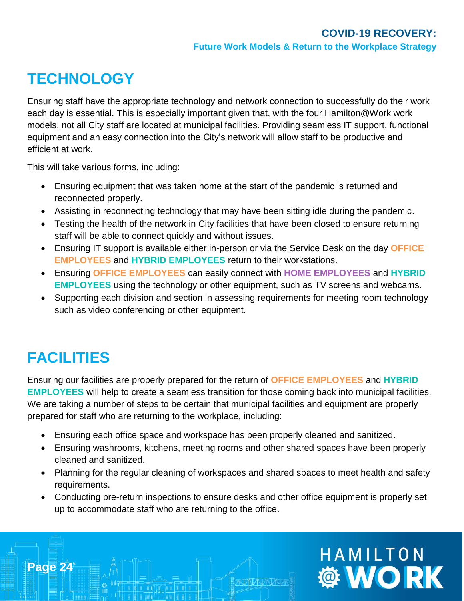## **TECHNOLOGY**

Ensuring staff have the appropriate technology and network connection to successfully do their work each day is essential. This is especially important given that, with the four Hamilton@Work work models, not all City staff are located at municipal facilities. Providing seamless IT support, functional equipment and an easy connection into the City's network will allow staff to be productive and efficient at work.

This will take various forms, including:

- Ensuring equipment that was taken home at the start of the pandemic is returned and reconnected properly.
- Assisting in reconnecting technology that may have been sitting idle during the pandemic.
- Testing the health of the network in City facilities that have been closed to ensure returning staff will be able to connect quickly and without issues.
- Ensuring IT support is available either in-person or via the Service Desk on the day **OFFICE EMPLOYEES** and **HYBRID EMPLOYEES** return to their workstations.
- Ensuring **OFFICE EMPLOYEES** can easily connect with **HOME EMPLOYEES** and **HYBRID EMPLOYEES** using the technology or other equipment, such as TV screens and webcams.
- Supporting each division and section in assessing requirements for meeting room technology such as video conferencing or other equipment.

## **FACILITIES**

**Page 24**

Ensuring our facilities are properly prepared for the return of **OFFICE EMPLOYEES** and **HYBRID EMPLOYEES** will help to create a seamless transition for those coming back into municipal facilities. We are taking a number of steps to be certain that municipal facilities and equipment are properly prepared for staff who are returning to the workplace, including:

- Ensuring each office space and workspace has been properly cleaned and sanitized.
- Ensuring washrooms, kitchens, meeting rooms and other shared spaces have been properly cleaned and sanitized.
- Planning for the regular cleaning of workspaces and shared spaces to meet health and safety requirements.
- Conducting pre-return inspections to ensure desks and other office equipment is properly set up to accommodate staff who are returning to the office.

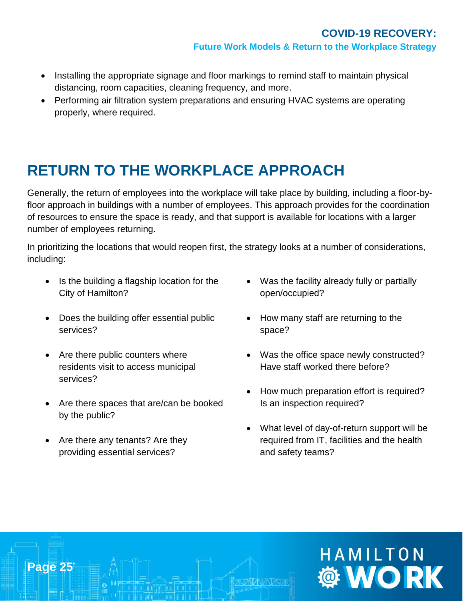- Installing the appropriate signage and floor markings to remind staff to maintain physical distancing, room capacities, cleaning frequency, and more.
- Performing air filtration system preparations and ensuring HVAC systems are operating properly, where required.

## **RETURN TO THE WORKPLACE APPROACH**

Generally, the return of employees into the workplace will take place by building, including a floor-byfloor approach in buildings with a number of employees. This approach provides for the coordination of resources to ensure the space is ready, and that support is available for locations with a larger number of employees returning.

In prioritizing the locations that would reopen first, the strategy looks at a number of considerations, including:

- Is the building a flagship location for the City of Hamilton?
- Does the building offer essential public services?
- Are there public counters where residents visit to access municipal services?
- Are there spaces that are/can be booked by the public?
- Are there any tenants? Are they providing essential services?

**Page 25**

- Was the facility already fully or partially open/occupied?
- How many staff are returning to the space?
- Was the office space newly constructed? Have staff worked there before?
- How much preparation effort is required? Is an inspection required?
- What level of day-of-return support will be required from IT, facilities and the health and safety teams?

# HAMILTON **OF WORK**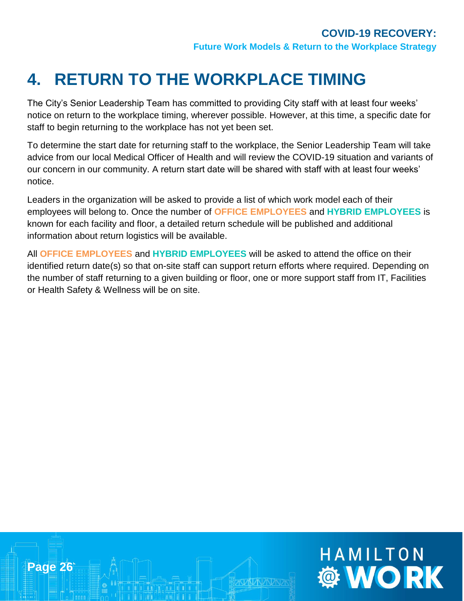**WORK** 

## <span id="page-25-0"></span>**4. RETURN TO THE WORKPLACE TIMING**

The City's Senior Leadership Team has committed to providing City staff with at least four weeks' notice on return to the workplace timing, wherever possible. However, at this time, a specific date for staff to begin returning to the workplace has not yet been set.

To determine the start date for returning staff to the workplace, the Senior Leadership Team will take advice from our local Medical Officer of Health and will review the COVID-19 situation and variants of our concern in our community. A return start date will be shared with staff with at least four weeks' notice.

Leaders in the organization will be asked to provide a list of which work model each of their employees will belong to. Once the number of **OFFICE EMPLOYEES** and **HYBRID EMPLOYEES** is known for each facility and floor, a detailed return schedule will be published and additional information about return logistics will be available.

All **OFFICE EMPLOYEES** and **HYBRID EMPLOYEES** will be asked to attend the office on their identified return date(s) so that on-site staff can support return efforts where required. Depending on the number of staff returning to a given building or floor, one or more support staff from IT, Facilities or Health Safety & Wellness will be on site.

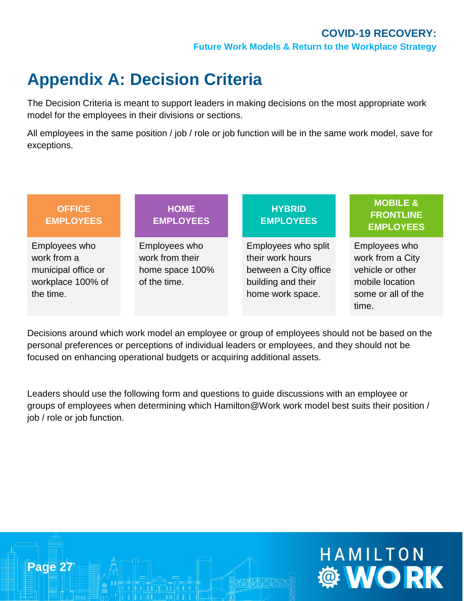HAMILTON

**WORK** 

## <span id="page-26-0"></span>**Appendix A: Decision Criteria**

**Page 27**

The Decision Criteria is meant to support leaders in making decisions on the most appropriate work model for the employees in their divisions or sections.

All employees in the same position / job / role or job function will be in the same work model, save for exceptions.

| <b>OFFICE</b><br><b>EMPLOYEES</b>                                                     | <b>HOME</b><br><b>EMPLOYEES</b>                                     | <b>HYBRID</b><br><b>EMPLOYEES</b>                                                                          | <b>MOBILE &amp;</b><br><b>FRONTLINE</b><br><b>EMPLOYEES</b>                                             |
|---------------------------------------------------------------------------------------|---------------------------------------------------------------------|------------------------------------------------------------------------------------------------------------|---------------------------------------------------------------------------------------------------------|
| Employees who<br>work from a<br>municipal office or<br>workplace 100% of<br>the time. | Employees who<br>work from their<br>home space 100%<br>of the time. | Employees who split<br>their work hours<br>between a City office<br>building and their<br>home work space. | Employees who<br>work from a City<br>vehicle or other<br>mobile location<br>some or all of the<br>time. |

Decisions around which work model an employee or group of employees should not be based on the personal preferences or perceptions of individual leaders or employees, and they should not be focused on enhancing operational budgets or acquiring additional assets.

Leaders should use the following form and questions to guide discussions with an employee or groups of employees when determining which Hamilton@Work work model best suits their position / job / role or job function.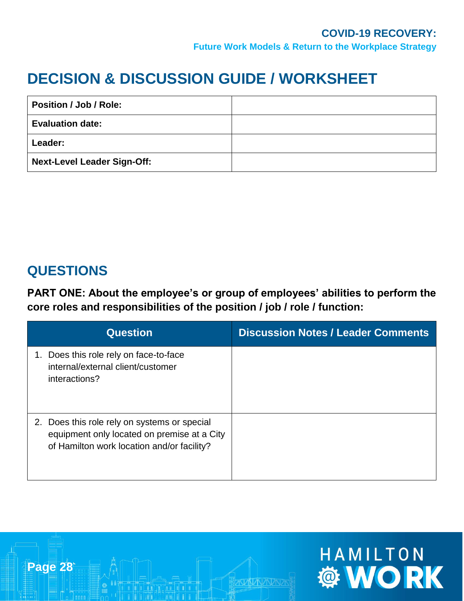## **DECISION & DISCUSSION GUIDE / WORKSHEET**

| Position / Job / Role:      |  |
|-----------------------------|--|
| <b>Evaluation date:</b>     |  |
| Leader:                     |  |
| Next-Level Leader Sign-Off: |  |

## **QUESTIONS**

**PART ONE: About the employee's or group of employees' abilities to perform the core roles and responsibilities of the position / job / role / function:** 

| <b>Question</b>                                                                                                                           | <b>Discussion Notes / Leader Comments</b> |
|-------------------------------------------------------------------------------------------------------------------------------------------|-------------------------------------------|
| Does this role rely on face-to-face<br>1.<br>internal/external client/customer<br>interactions?                                           |                                           |
| 2. Does this role rely on systems or special<br>equipment only located on premise at a City<br>of Hamilton work location and/or facility? |                                           |

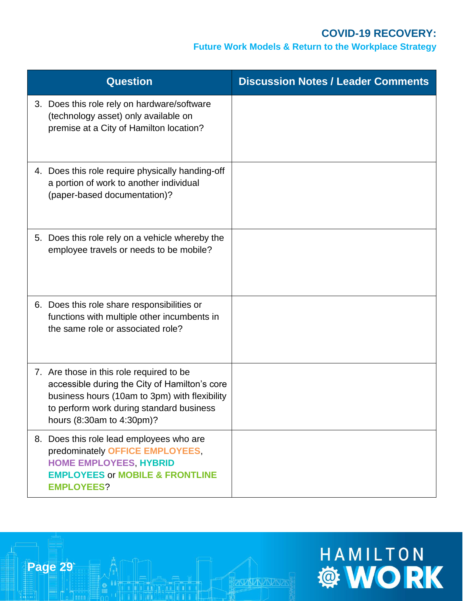#### **Future Work Models & Return to the Workplace Strategy**

| <b>Question</b>                                                                                                                                                                                                     | <b>Discussion Notes / Leader Comments</b> |
|---------------------------------------------------------------------------------------------------------------------------------------------------------------------------------------------------------------------|-------------------------------------------|
| 3. Does this role rely on hardware/software<br>(technology asset) only available on<br>premise at a City of Hamilton location?                                                                                      |                                           |
| 4. Does this role require physically handing-off<br>a portion of work to another individual<br>(paper-based documentation)?                                                                                         |                                           |
| 5. Does this role rely on a vehicle whereby the<br>employee travels or needs to be mobile?                                                                                                                          |                                           |
| 6. Does this role share responsibilities or<br>functions with multiple other incumbents in<br>the same role or associated role?                                                                                     |                                           |
| 7. Are those in this role required to be<br>accessible during the City of Hamilton's core<br>business hours (10am to 3pm) with flexibility<br>to perform work during standard business<br>hours (8:30am to 4:30pm)? |                                           |
| 8. Does this role lead employees who are<br>predominately OFFICE EMPLOYEES,<br><b>HOME EMPLOYEES, HYBRID</b><br><b>EMPLOYEES or MOBILE &amp; FRONTLINE</b><br><b>EMPLOYEES?</b>                                     |                                           |

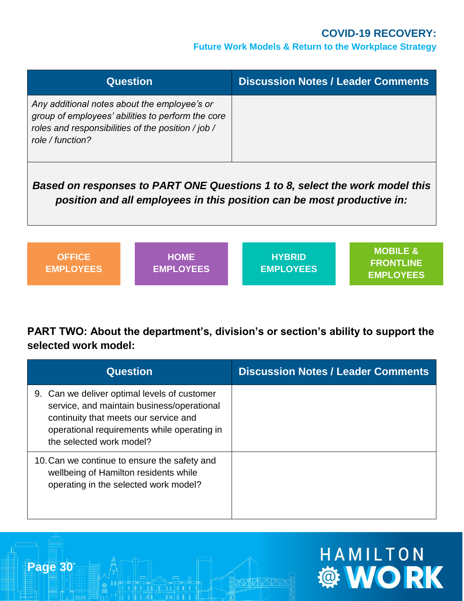**HAMILTON** 

#### **Future Work Models & Return to the Workplace Strategy**

| <b>Question</b>                                                                                                                                                             | <b>Discussion Notes / Leader Comments</b> |
|-----------------------------------------------------------------------------------------------------------------------------------------------------------------------------|-------------------------------------------|
| Any additional notes about the employee's or<br>group of employees' abilities to perform the core<br>roles and responsibilities of the position / job /<br>role / function? |                                           |

*Based on responses to PART ONE Questions 1 to 8, select the work model this position and all employees in this position can be most productive in:*

| <b>OFFICE</b><br><b>EMPLOYEES</b> | <b>HOME</b><br><b>EMPLOYEES</b> | <b>HYBRID</b><br><b>EMPLOYEES</b> | MOBILE &<br><b>FRONTLINE</b><br><b>EMPLOYEES</b> |
|-----------------------------------|---------------------------------|-----------------------------------|--------------------------------------------------|
|-----------------------------------|---------------------------------|-----------------------------------|--------------------------------------------------|

**PART TWO: About the department's, division's or section's ability to support the selected work model:** 

| <b>Question</b>                                                                                                                                                                                                | <b>Discussion Notes / Leader Comments</b> |
|----------------------------------------------------------------------------------------------------------------------------------------------------------------------------------------------------------------|-------------------------------------------|
| 9. Can we deliver optimal levels of customer<br>service, and maintain business/operational<br>continuity that meets our service and<br>operational requirements while operating in<br>the selected work model? |                                           |
| 10. Can we continue to ensure the safety and<br>wellbeing of Hamilton residents while<br>operating in the selected work model?                                                                                 |                                           |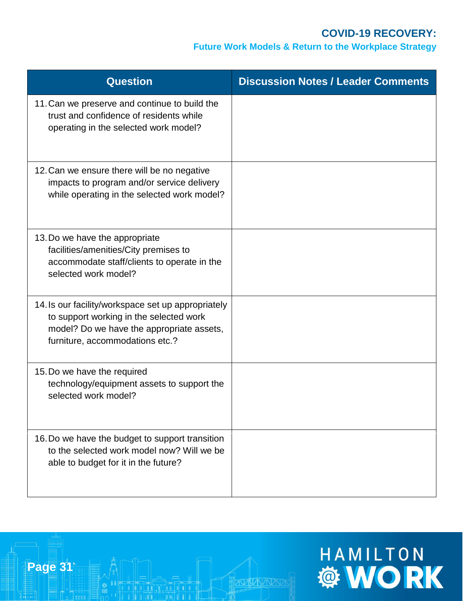#### **Future Work Models & Return to the Workplace Strategy**

| <b>Question</b>                                                                                                                                                               | <b>Discussion Notes / Leader Comments</b> |
|-------------------------------------------------------------------------------------------------------------------------------------------------------------------------------|-------------------------------------------|
| 11. Can we preserve and continue to build the<br>trust and confidence of residents while<br>operating in the selected work model?                                             |                                           |
| 12. Can we ensure there will be no negative<br>impacts to program and/or service delivery<br>while operating in the selected work model?                                      |                                           |
| 13. Do we have the appropriate<br>facilities/amenities/City premises to<br>accommodate staff/clients to operate in the<br>selected work model?                                |                                           |
| 14. Is our facility/workspace set up appropriately<br>to support working in the selected work<br>model? Do we have the appropriate assets,<br>furniture, accommodations etc.? |                                           |
| 15. Do we have the required<br>technology/equipment assets to support the<br>selected work model?                                                                             |                                           |
| 16. Do we have the budget to support transition<br>to the selected work model now? Will we be<br>able to budget for it in the future?                                         |                                           |

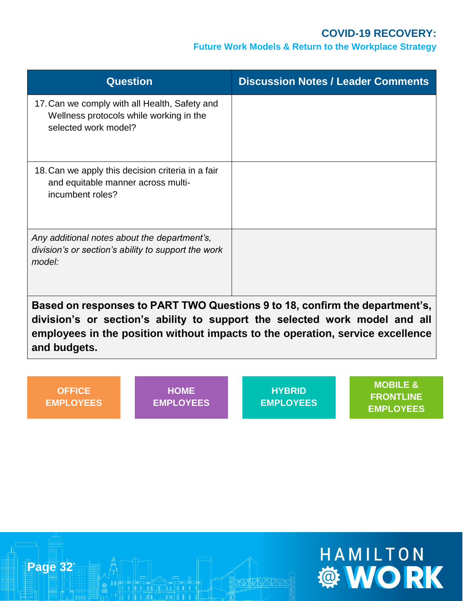#### **Future Work Models & Return to the Workplace Strategy**

| <b>Question</b>                                                                                                  | <b>Discussion Notes / Leader Comments</b> |
|------------------------------------------------------------------------------------------------------------------|-------------------------------------------|
| 17. Can we comply with all Health, Safety and<br>Wellness protocols while working in the<br>selected work model? |                                           |
| 18. Can we apply this decision criteria in a fair<br>and equitable manner across multi-<br>incumbent roles?      |                                           |
| Any additional notes about the department's,<br>division's or section's ability to support the work<br>model:    |                                           |

**Based on responses to PART TWO Questions 9 to 18, confirm the department's, division's or section's ability to support the selected work model and all employees in the position without impacts to the operation, service excellence and budgets.** 

**OFFICE EMPLOYEES**

**HOME EMPLOYEES**

**HYBRID EMPLOYEES**

**MOBILE & FRONTLINE EMPLOYEES**



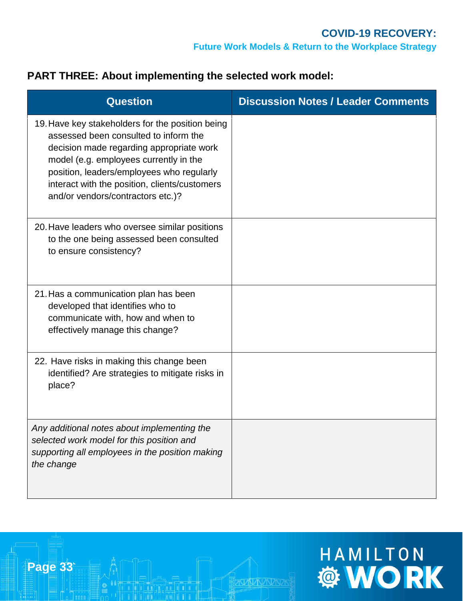#### **PART THREE: About implementing the selected work model:**

| <b>Question</b>                                                                                                                                                                                                                                                                                                    | <b>Discussion Notes / Leader Comments</b> |
|--------------------------------------------------------------------------------------------------------------------------------------------------------------------------------------------------------------------------------------------------------------------------------------------------------------------|-------------------------------------------|
| 19. Have key stakeholders for the position being<br>assessed been consulted to inform the<br>decision made regarding appropriate work<br>model (e.g. employees currently in the<br>position, leaders/employees who regularly<br>interact with the position, clients/customers<br>and/or vendors/contractors etc.)? |                                           |
| 20. Have leaders who oversee similar positions<br>to the one being assessed been consulted<br>to ensure consistency?                                                                                                                                                                                               |                                           |
| 21. Has a communication plan has been<br>developed that identifies who to<br>communicate with, how and when to<br>effectively manage this change?                                                                                                                                                                  |                                           |
| 22. Have risks in making this change been<br>identified? Are strategies to mitigate risks in<br>place?                                                                                                                                                                                                             |                                           |
| Any additional notes about implementing the<br>selected work model for this position and<br>supporting all employees in the position making<br>the change                                                                                                                                                          |                                           |